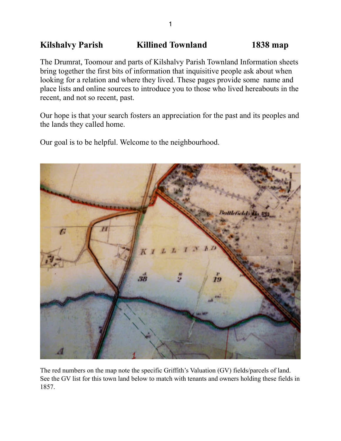# Kilshalvy Parish **Killined Townland** 1838 map

The Drumrat, Toomour and parts of Kilshalvy Parish Townland Information sheets bring together the first bits of information that inquisitive people ask about when looking for a relation and where they lived. These pages provide some name and place lists and online sources to introduce you to those who lived hereabouts in the recent, and not so recent, past.

Our hope is that your search fosters an appreciation for the past and its peoples and the lands they called home.

Our goal is to be helpful. Welcome to the neighbourhood.



The red numbers on the map note the specific Griffith's Valuation (GV) fields/parcels of land. See the GV list for this town land below to match with tenants and owners holding these fields in 1857.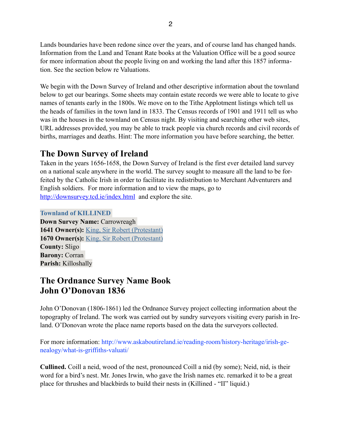Lands boundaries have been redone since over the years, and of course land has changed hands. Information from the Land and Tenant Rate books at the Valuation Office will be a good source for more information about the people living on and working the land after this 1857 information. See the section below re Valuations.

We begin with the Down Survey of Ireland and other descriptive information about the townland below to get our bearings. Some sheets may contain estate records we were able to locate to give names of tenants early in the 1800s. We move on to the Tithe Applotment listings which tell us the heads of families in the town land in 1833. The Census records of 1901 and 1911 tell us who was in the houses in the townland on Census night. By visiting and searching other web sites, URL addresses provided, you may be able to track people via church records and civil records of births, marriages and deaths. Hint: The more information you have before searching, the better.

# **The Down Survey of Ireland**

Taken in the years 1656-1658, the Down Survey of Ireland is the first ever detailed land survey on a national scale anywhere in the world. The survey sought to measure all the land to be forfeited by the Catholic Irish in order to facilitate its redistribution to Merchant Adventurers and English soldiers. For more information and to view the maps, go to <http://downsurvey.tcd.ie/index.html>and explore the site.

### **Townland of KILLINED**

**Down Survey Name:** Carrowreagh **1641 Owner(s):** King, Sir Robert (Protestant) **1670 Owner(s):** King, Sir Robert (Protestant) **County:** Sligo **Barony:** Corran **Parish:** Killoshally

### **The Ordnance Survey Name Book John O'Donovan 1836**

John O'Donovan (1806-1861) led the Ordnance Survey project collecting information about the topography of Ireland. The work was carried out by sundry surveyors visiting every parish in Ireland. O'Donovan wrote the place name reports based on the data the surveyors collected.

For more information: http://www.askaboutireland.ie/reading-room/history-heritage/irish-genealogy/what-is-griffiths-valuati/

**Cullined.** Coill a neid, wood of the nest, pronounced Coill a nid (by some); Neid, nid, is their word for a bird's nest. Mr. Jones Irwin, who gave the Irish names etc. remarked it to be a great place for thrushes and blackbirds to build their nests in (Killined - "II" liquid.)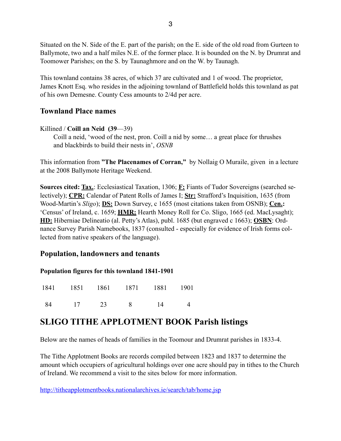Situated on the N. Side of the E. part of the parish; on the E. side of the old road from Gurteen to Ballymote, two and a half miles N.E. of the former place. It is bounded on the N. by Drumrat and Toomower Parishes; on the S. by Taunaghmore and on the W. by Taunagh.

This townland contains 38 acres, of which 37 are cultivated and 1 of wood. The proprietor, James Knott Esq. who resides in the adjoining townland of Battlefield holds this townland as pat of his own Demesne. County Cess amounts to 2/4d per acre.

### **Townland Place names**

### Killined / **Coill an Neid (39**—39)

 Coill a neid, 'wood of the nest, pron. Coill a nid by some… a great place for thrushes and blackbirds to build their nests in', *OSNB*

This information from **"The Placenames of Corran,"** by Nollaig O Muraile, given in a lecture at the 2008 Ballymote Heritage Weekend.

**Sources cited: Tax.**: Ecclesiastical Taxation, 1306; **F:** Fiants of Tudor Sovereigns (searched selectively); **CPR:** Calendar of Patent Rolls of James I; **Str:** Strafford's Inquisition, 1635 (from Wood-Martin's *Sligo*); **DS:** Down Survey, c 1655 (most citations taken from OSNB); **Cen.:** 'Census' of Ireland, c. 1659; **HMR:** Hearth Money Roll for Co. Sligo, 1665 (ed. MacLysaght); **HD:** Hiberniae Delineatio (al. Petty's Atlas), publ. 1685 (but engraved c 1663); **OSBN**: Ordnance Survey Parish Namebooks, 1837 (consulted - especially for evidence of Irish forms collected from native speakers of the language).

### **Population, landowners and tenants**

#### **Population figures for this townland 1841-1901**

|            | 1841 1851 1861 1871 1881 1901 |    |  |
|------------|-------------------------------|----|--|
| 84 17 23 8 |                               | 14 |  |

## **SLIGO TITHE APPLOTMENT BOOK Parish listings**

Below are the names of heads of families in the Toomour and Drumrat parishes in 1833-4.

The Tithe Applotment Books are records compiled between 1823 and 1837 to determine the amount which occupiers of agricultural holdings over one acre should pay in tithes to the Church of Ireland. We recommend a visit to the sites below for more information.

<http://titheapplotmentbooks.nationalarchives.ie/search/tab/home.jsp>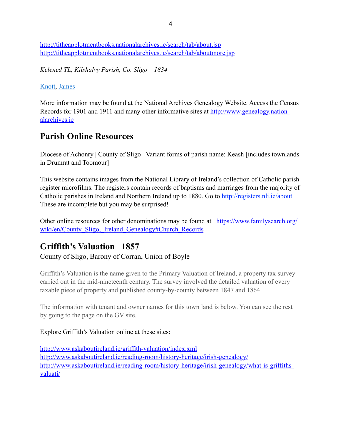<http://titheapplotmentbooks.nationalarchives.ie/search/tab/about.jsp> <http://titheapplotmentbooks.nationalarchives.ie/search/tab/aboutmore.jsp>

*Kelened TL, Kilshalvy Parish, Co. Sligo 1834*

### [Knott](http://titheapplotmentbooks.nationalarchives.ie/reels/tab//004625686/004625686_00731.pdf), [James](http://titheapplotmentbooks.nationalarchives.ie/reels/tab//004625686/004625686_00731.pdf)

More information may be found at the National Archives Genealogy Website. Access the Census [Records for 1901 and 1911 and many other informative sites at http://www.genealogy.nation](http://www.genealogy.nationalarchives.ie)alarchives.ie

# **Parish Online Resources**

Diocese of Achonry | County of Sligo Variant forms of parish name: Keash [includes townlands] in Drumrat and Toomour]

This website contains images from the National Library of Ireland's collection of Catholic parish register microfilms. The registers contain records of baptisms and marriages from the majority of Catholic parishes in Ireland and Northern Ireland up to 1880. Go to <http://registers.nli.ie/about> These are incomplete but you may be surprised!

[Other online resources for other denominations may be found at https://www.familysearch.org/](https://www.familysearch.org/wiki/en/County_Sligo,_Ireland_Genealogy#Church_Records) wiki/en/County\_Sligo, Ireland\_Genealogy#Church\_Records

## **Griffith's Valuation 1857**

County of Sligo, Barony of Corran, Union of Boyle

Griffith's Valuation is the name given to the Primary Valuation of Ireland, a property tax survey carried out in the mid-nineteenth century. The survey involved the detailed valuation of every taxable piece of property and published county-by-county between 1847 and 1864.

The information with tenant and owner names for this town land is below. You can see the rest by going to the page on the GV site.

### Explore Griffith's Valuation online at these sites:

<http://www.askaboutireland.ie/griffith-valuation/index.xml> <http://www.askaboutireland.ie/reading-room/history-heritage/irish-genealogy/> [http://www.askaboutireland.ie/reading-room/history-heritage/irish-genealogy/what-is-griffiths](http://www.askaboutireland.ie/reading-room/history-heritage/irish-genealogy/what-is-griffiths-valuati/)valuati/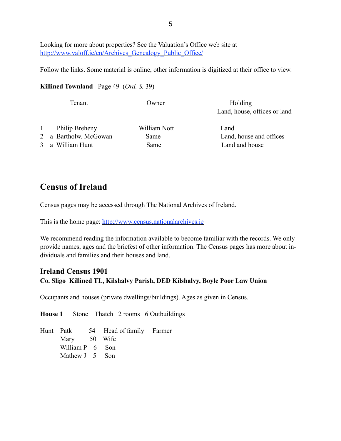Looking for more about properties? See the Valuation's Office web site at http://www.valoff.ie/en/Archives Genealogy Public Office/

Follow the links. Some material is online, other information is digitized at their office to view.

#### **Killined Townland** Page 49 (*Ord. S.* 39)

| Tenant                                                                      | Owner                        | Holding<br>Land, house, offices or land           |
|-----------------------------------------------------------------------------|------------------------------|---------------------------------------------------|
| Philip Breheny<br>$\mathbf{1}$<br>2 a Bartholw. McGowan<br>3 a William Hunt | William Nott<br>Same<br>Same | Land<br>Land, house and offices<br>Land and house |

### **Census of Ireland**

Census pages may be accessed through The National Archives of Ireland.

This is the home page: <http://www.census.nationalarchives.ie>

We recommend reading the information available to become familiar with the records. We only provide names, ages and the briefest of other information. The Census pages has more about individuals and families and their houses and land.

#### **Ireland Census 1901**

**Co. Sligo Killined TL, Kilshalvy Parish, DED Kilshalvy, Boyle Poor Law Union**

Occupants and houses (private dwellings/buildings). Ages as given in Census.

**House 1** Stone Thatch 2 rooms 6 Outbuildings

Hunt Patk 54 Head of family Farmer Mary 50 Wife William P 6 Son Mathew J 5 Son